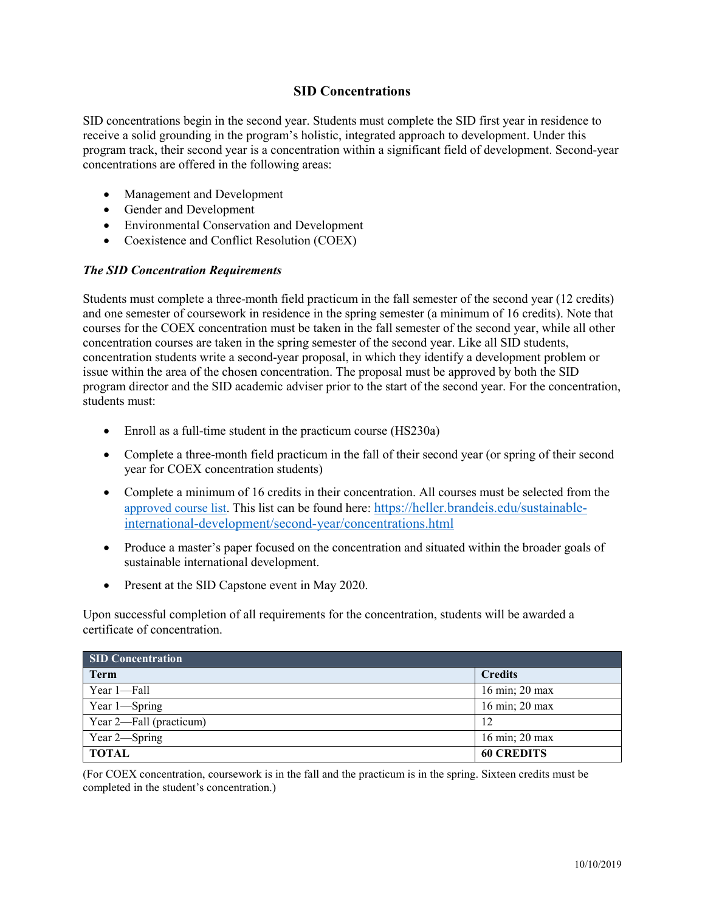## **SID Concentrations**

SID concentrations begin in the second year. Students must complete the SID first year in residence to receive a solid grounding in the program's holistic, integrated approach to development. Under this program track, their second year is a concentration within a significant field of development. Second-year concentrations are offered in the following areas:

- Management and Development
- Gender and Development
- Environmental Conservation and Development
- Coexistence and Conflict Resolution (COEX)

### *The SID Concentration Requirements*

Students must complete a three-month field practicum in the fall semester of the second year (12 credits) and one semester of coursework in residence in the spring semester (a minimum of 16 credits). Note that courses for the COEX concentration must be taken in the fall semester of the second year, while all other concentration courses are taken in the spring semester of the second year. Like all SID students, concentration students write a second-year proposal, in which they identify a development problem or issue within the area of the chosen concentration. The proposal must be approved by both the SID program director and the SID academic adviser prior to the start of the second year. For the concentration, students must:

- Enroll as a full-time student in the practicum course (HS230a)
- Complete a three-month field practicum in the fall of their second year (or spring of their second year for COEX concentration students)
- Complete a minimum of 16 credits in their concentration. All courses must be selected from the [approved course list.](http://heller.brandeis.edu/sustainable-international-development/second-year/concentrations-environmental-conservation.html) This list can be found here: [https://heller.brandeis.edu/sustainable](https://heller.brandeis.edu/sustainable-international-development/second-year/concentrations.html)[international-development/second-year/concentrations.html](https://heller.brandeis.edu/sustainable-international-development/second-year/concentrations.html)
- Produce a master's paper focused on the concentration and situated within the broader goals of sustainable international development.
- Present at the SID Capstone event in May 2020.

Upon successful completion of all requirements for the concentration, students will be awarded a certificate of concentration.

| <b>SID Concentration</b> |                                     |
|--------------------------|-------------------------------------|
| <b>Term</b>              | <b>Credits</b>                      |
| Year 1-Fall              | 16 min; 20 max                      |
| Year 1-Spring            | 16 min; 20 max                      |
| Year 2—Fall (practicum)  | 12                                  |
| Year 2-Spring            | $16 \text{ min}$ ; $20 \text{ max}$ |
| <b>TOTAL</b>             | <b>60 CREDITS</b>                   |

(For COEX concentration, coursework is in the fall and the practicum is in the spring. Sixteen credits must be completed in the student's concentration.)